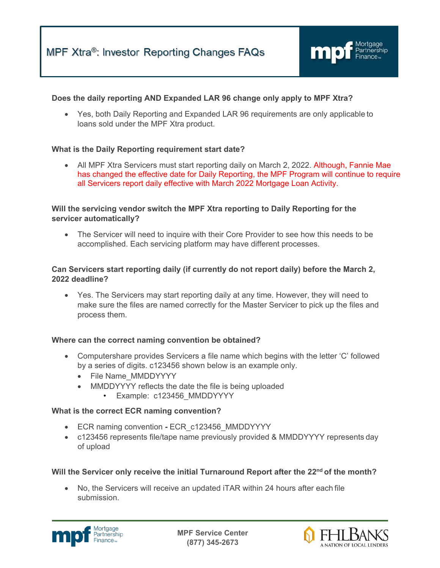

### **Does the daily reporting AND Expanded LAR 96 change only apply to MPF Xtra?**

• Yes, both Daily Reporting and Expanded LAR 96 requirements are only applicable to loans sold under the MPF Xtra product.

### **What is the Daily Reporting requirement start date?**

• All MPF Xtra Servicers must start reporting daily on March 2, 2022. Although, Fannie Mae has changed the effective date for Daily Reporting, the MPF Program will continue to require all Servicers report daily effective with March 2022 Mortgage Loan Activity.

## **Will the servicing vendor switch the MPF Xtra reporting to Daily Reporting for the servicer automatically?**

• The Servicer will need to inquire with their Core Provider to see how this needs to be accomplished. Each servicing platform may have different processes.

## **Can Servicers start reporting daily (if currently do not report daily) before the March 2, 2022 deadline?**

• Yes. The Servicers may start reporting daily at any time. However, they will need to make sure the files are named correctly for the Master Servicer to pick up the files and process them.

### **Where can the correct naming convention be obtained?**

- Computershare provides Servicers a file name which begins with the letter 'C' followed by a series of digits. c123456 shown below is an example only.
	- File Name\_MMDDYYYY
	- MMDDYYYY reflects the date the file is being uploaded
		- Example: c123456 MMDDYYYY

### **What is the correct ECR naming convention?**

- ECR naming convention **-** ECR\_c123456\_MMDDYYYY
- c123456 represents file/tape name previously provided & MMDDYYYY represents day of upload

### **Will the Servicer only receive the initial Turnaround Report after the 22nd of the month?**

• No, the Servicers will receive an updated iTAR within 24 hours after each file submission.



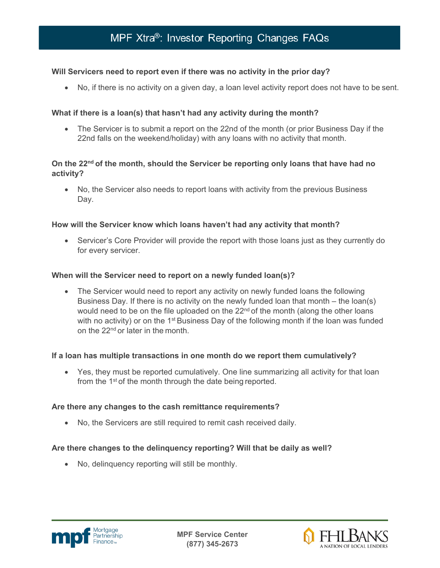## **Will Servicers need to report even if there was no activity in the prior day?**

• No, if there is no activity on a given day, a loan level activity report does not have to be sent.

## **What if there is a loan(s) that hasn't had any activity during the month?**

• The Servicer is to submit a report on the 22nd of the month (or prior Business Day if the 22nd falls on the weekend/holiday) with any loans with no activity that month.

## **On the 22nd of the month, should the Servicer be reporting only loans that have had no activity?**

• No, the Servicer also needs to report loans with activity from the previous Business Day.

### **How will the Servicer know which loans haven't had any activity that month?**

• Servicer's Core Provider will provide the report with those loans just as they currently do for every servicer.

### **When will the Servicer need to report on a newly funded loan(s)?**

• The Servicer would need to report any activity on newly funded loans the following Business Day. If there is no activity on the newly funded loan that month – the loan(s) would need to be on the file uploaded on the  $22<sup>nd</sup>$  of the month (along the other loans with no activity) or on the 1<sup>st</sup> Business Day of the following month if the loan was funded on the 22nd or later in the month.

#### **If a loan has multiple transactions in one month do we report them cumulatively?**

• Yes, they must be reported cumulatively. One line summarizing all activity for that loan from the 1<sup>st</sup> of the month through the date being reported.

### **Are there any changes to the cash remittance requirements?**

• No, the Servicers are still required to remit cash received daily.

### **Are there changes to the delinquency reporting? Will that be daily as well?**

• No, delinquency reporting will still be monthly.



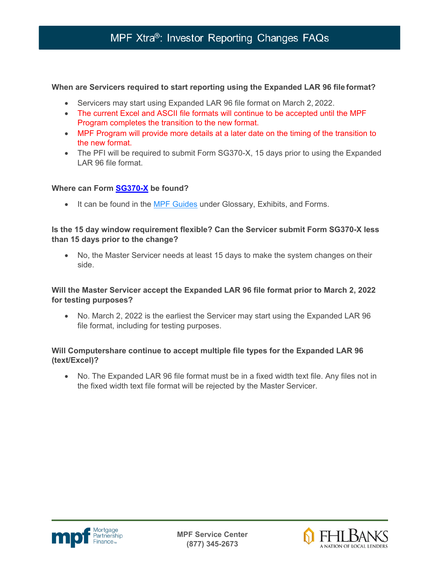## MPF Xtra®: Investor Reporting Changes FAQs

### **When are Servicers required to start reporting using the Expanded LAR 96 file format?**

- Servicers may start using Expanded LAR 96 file format on March 2, 2022.
- The current Excel and ASCII file formats will continue to be accepted until the MPF Program completes the transition to the new format.
- MPF Program will provide more details at a later date on the timing of the transition to the new format.
- The PFI will be required to submit Form SG370-X, 15 days prior to using the Expanded LAR 96 file format.

### **Where can Form [SG370-X](https://www.fhlbmpf.com/docs/default-source/form-sg370-x-mpf-xtra-investor-reporting-change-request/form-sg370-x-mpf-xtra-investor-reporting-change-request-2-18-22f0cbea95f9464715aa2bc46f4b17589f.pdf?sfvrsn=cd8dad1f_0) be found?**

• It can be found in the **[MPF Guides](https://www.fhlbmpf.com/mpf-guides/guides)** under Glossary, Exhibits, and Forms.

## **Is the 15 day window requirement flexible? Can the Servicer submit Form SG370-X less than 15 days prior to the change?**

• No, the Master Servicer needs at least 15 days to make the system changes on their side.

## **Will the Master Servicer accept the Expanded LAR 96 file format prior to March 2, 2022 for testing purposes?**

• No. March 2, 2022 is the earliest the Servicer may start using the Expanded LAR 96 file format, including for testing purposes.

## **Will Computershare continue to accept multiple file types for the Expanded LAR 96 (text/Excel)?**

• No. The Expanded LAR 96 file format must be in a fixed width text file. Any files not in the fixed width text file format will be rejected by the Master Servicer.



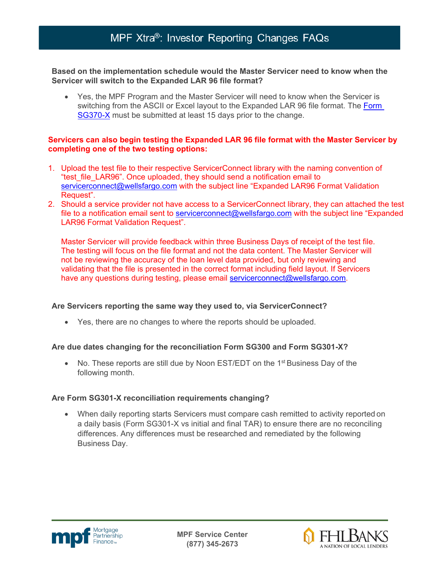## MPF Xtra®: Investor Reporting Changes FAQs

### **Based on the implementation schedule would the Master Servicer need to know when the Servicer will switch to the Expanded LAR 96 file format?**

• Yes, the MPF Program and the Master Servicer will need to know when the Servicer is switching from the ASCII or Excel layout to the Expanded LAR 96 file format. The [Form](https://www.fhlbmpf.com/docs/default-source/form-sg370-x-mpf-xtra-investor-reporting-change-request/form-sg370-x-mpf-xtra-investor-reporting-change-request-2-18-22f0cbea95f9464715aa2bc46f4b17589f.pdf?sfvrsn=cd8dad1f_0)  [SG370-X](https://www.fhlbmpf.com/docs/default-source/form-sg370-x-mpf-xtra-investor-reporting-change-request/form-sg370-x-mpf-xtra-investor-reporting-change-request-2-18-22f0cbea95f9464715aa2bc46f4b17589f.pdf?sfvrsn=cd8dad1f_0) must be submitted at least 15 days prior to the change.

### **Servicers can also begin testing the Expanded LAR 96 file format with the Master Servicer by completing one of the two testing options:**

- 1. Upload the test file to their respective ServicerConnect library with the naming convention of "test\_file\_LAR96". Once uploaded, they should send a notification email to [servicerconnect@wellsfargo.com](mailto:servicerconnect@wellsfargo.com) with the subject line "Expanded LAR96 Format Validation Request".
- 2. Should a service provider not have access to a ServicerConnect library, they can attached the test file to a notification email sent to [servicerconnect@wellsfargo.com](mailto:servicerconnect@wellsfargo.com) with the subject line "Expanded" LAR96 Format Validation Request".

Master Servicer will provide feedback within three Business Days of receipt of the test file. The testing will focus on the file format and not the data content. The Master Servicer will not be reviewing the accuracy of the loan level data provided, but only reviewing and validating that the file is presented in the correct format including field layout. If Servicers have any questions during testing, please email [servicerconnect@wellsfargo.com.](mailto:servicerconnect@wellsfargo.com)

### **Are Servicers reporting the same way they used to, via ServicerConnect?**

• Yes, there are no changes to where the reports should be uploaded.

## **Are due dates changing for the reconciliation Form SG300 and Form SG301-X?**

• No. These reports are still due by Noon EST/EDT on the 1<sup>st</sup> Business Day of the following month.

## **Are Form SG301-X reconciliation requirements changing?**

• When daily reporting starts Servicers must compare cash remitted to activity reported on a daily basis (Form SG301-X vs initial and final TAR) to ensure there are no reconciling differences. Any differences must be researched and remediated by the following Business Day.